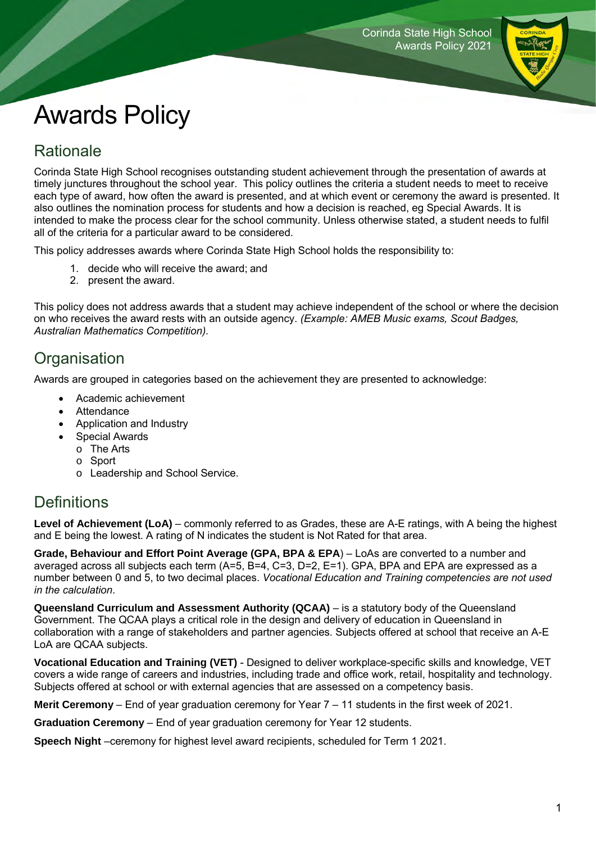

# Awards Policy

## Rationale

Corinda State High School recognises outstanding student achievement through the presentation of awards at timely junctures throughout the school year. This policy outlines the criteria a student needs to meet to receive each type of award, how often the award is presented, and at which event or ceremony the award is presented. It also outlines the nomination process for students and how a decision is reached, eg Special Awards. It is intended to make the process clear for the school community. Unless otherwise stated, a student needs to fulfil all of the criteria for a particular award to be considered.

This policy addresses awards where Corinda State High School holds the responsibility to:

- 1. decide who will receive the award; and
- 2. present the award.

This policy does not address awards that a student may achieve independent of the school or where the decision on who receives the award rests with an outside agency. *(Example: AMEB Music exams, Scout Badges, Australian Mathematics Competition).*

## **Organisation**

Awards are grouped in categories based on the achievement they are presented to acknowledge:

- Academic achievement
- Attendance
- Application and Industry
	- Special Awards
	- o The Arts
		- o Sport
	- o Leadership and School Service.

## **Definitions**

**Level of Achievement (LoA)** – commonly referred to as Grades, these are A-E ratings, with A being the highest and E being the lowest. A rating of N indicates the student is Not Rated for that area.

**Grade, Behaviour and Effort Point Average (GPA, BPA & EPA**) – LoAs are converted to a number and averaged across all subjects each term (A=5, B=4, C=3, D=2, E=1). GPA, BPA and EPA are expressed as a number between 0 and 5, to two decimal places. *Vocational Education and Training competencies are not used in the calculation*.

**Queensland Curriculum and Assessment Authority (QCAA)** – is a statutory body of the Queensland Government. The QCAA plays a critical role in the design and delivery of education in Queensland in collaboration with a range of stakeholders and partner agencies. Subjects offered at school that receive an A-E LoA are QCAA subjects.

**Vocational Education and Training (VET)** - Designed to deliver workplace-specific skills and knowledge, VET covers a wide range of careers and industries, including trade and office work, retail, hospitality and technology. Subjects offered at school or with external agencies that are assessed on a competency basis.

**Merit Ceremony** – End of year graduation ceremony for Year 7 – 11 students in the first week of 2021.

**Graduation Ceremony** – End of year graduation ceremony for Year 12 students.

**Speech Night** –ceremony for highest level award recipients, scheduled for Term 1 2021.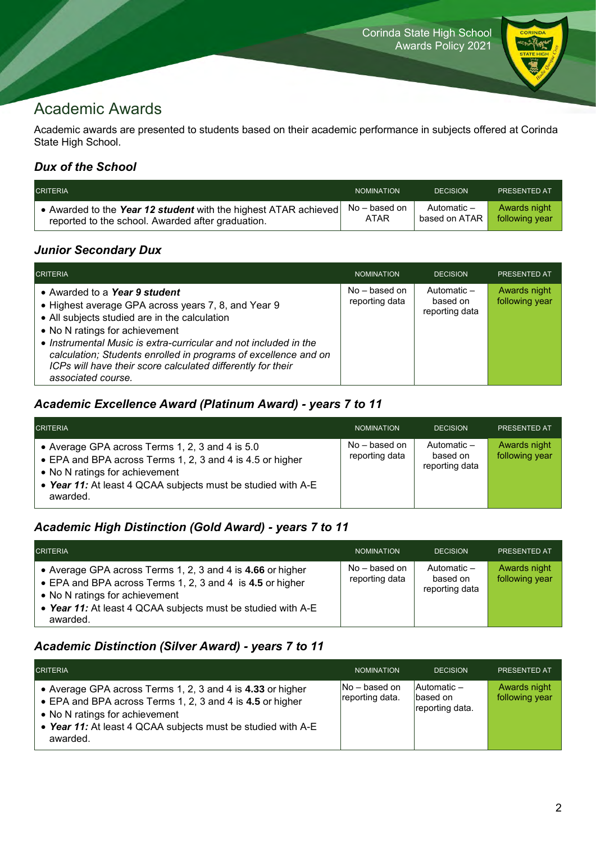

## Academic Awards

Academic awards are presented to students based on their academic performance in subjects offered at Corinda State High School.

### *Dux of the School*

| <b>CRITERIA</b>                                                 | <b>NOMINATION</b> | <b>DECISION</b> | <b>PRESENTED AT</b> |
|-----------------------------------------------------------------|-------------------|-----------------|---------------------|
| • Awarded to the Year 12 student with the highest ATAR achieved | No – based on     | Automatic –     | Awards night        |
| reported to the school. Awarded after graduation.               | ATAR              | based on ATAR   | following year      |

### *Junior Secondary Dux*

| <b>CRITERIA</b>                                                                                                                                                                                                                                                                                                                                                                                     | <b>NOMINATION</b>                 | <b>DECISION</b>                           | <b>PRESENTED AT</b>            |
|-----------------------------------------------------------------------------------------------------------------------------------------------------------------------------------------------------------------------------------------------------------------------------------------------------------------------------------------------------------------------------------------------------|-----------------------------------|-------------------------------------------|--------------------------------|
| • Awarded to a Year 9 student<br>• Highest average GPA across years 7, 8, and Year 9<br>• All subjects studied are in the calculation<br>• No N ratings for achievement<br>• Instrumental Music is extra-curricular and not included in the<br>calculation; Students enrolled in programs of excellence and on<br>ICPs will have their score calculated differently for their<br>associated course. | $No - based on$<br>reporting data | Automatic -<br>based on<br>reporting data | Awards night<br>following year |

### *Academic Excellence Award (Platinum Award) - years 7 to 11*

| <b>CRITERIA</b>                                                                                                                                                                                                            | <b>NOMINATION</b>                 | <b>DECISION</b>                           | <b>PRESENTED AT</b>            |
|----------------------------------------------------------------------------------------------------------------------------------------------------------------------------------------------------------------------------|-----------------------------------|-------------------------------------------|--------------------------------|
| • Average GPA across Terms 1, 2, 3 and 4 is 5.0<br>• EPA and BPA across Terms 1, 2, 3 and 4 is 4.5 or higher<br>• No N ratings for achievement<br>• Year 11: At least 4 QCAA subjects must be studied with A-E<br>awarded. | $No - based on$<br>reporting data | Automatic -<br>based on<br>reporting data | Awards night<br>following year |

#### *Academic High Distinction (Gold Award) - years 7 to 11*

| <b>CRITERIA</b>                                                                                                                                                                                                                       | <b>NOMINATION</b>               | <b>DECISION</b>                             | <b>PRESENTED AT</b>            |
|---------------------------------------------------------------------------------------------------------------------------------------------------------------------------------------------------------------------------------------|---------------------------------|---------------------------------------------|--------------------------------|
| • Average GPA across Terms 1, 2, 3 and 4 is 4.66 or higher<br>• EPA and BPA across Terms 1, 2, 3 and 4 is 4.5 or higher<br>• No N ratings for achievement<br>• Year 11: At least 4 QCAA subjects must be studied with A-E<br>awarded. | No – based on<br>reporting data | Automatic $-$<br>based on<br>reporting data | Awards night<br>following year |

#### *Academic Distinction (Silver Award) - years 7 to 11*

| <b>CRITERIA</b>                                                                                                                                                                                                                       | <b>NOMINATION</b>                  | <b>DECISION</b>                            | <b>PRESENTED AT</b>            |
|---------------------------------------------------------------------------------------------------------------------------------------------------------------------------------------------------------------------------------------|------------------------------------|--------------------------------------------|--------------------------------|
| • Average GPA across Terms 1, 2, 3 and 4 is 4.33 or higher<br>• EPA and BPA across Terms 1, 2, 3 and 4 is 4.5 or higher<br>• No N ratings for achievement<br>• Year 11: At least 4 QCAA subjects must be studied with A-E<br>awarded. | $No - based on$<br>reporting data. | Automatic -<br>based on<br>reporting data. | Awards night<br>following year |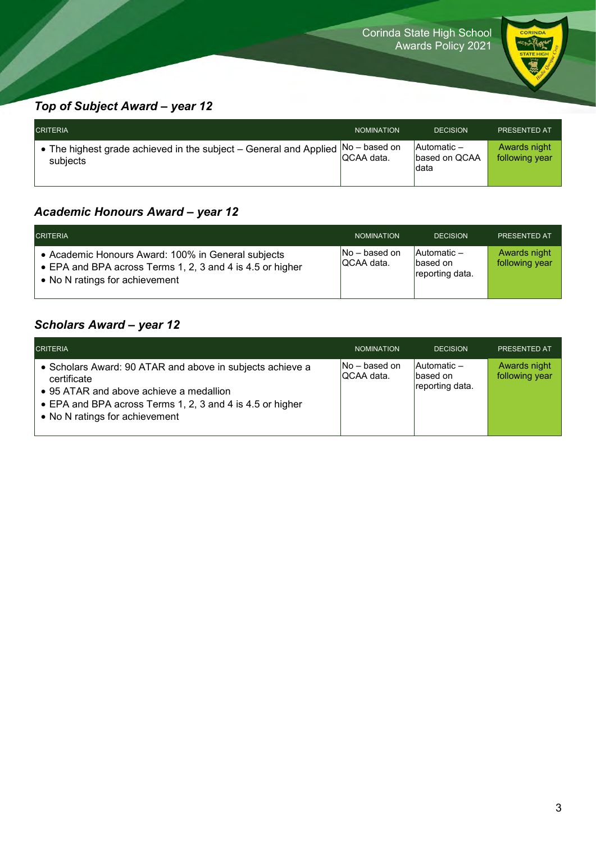

### *Top of Subject Award – year 12*

| <b>CRITERIA</b>                                                                                | <b>NOMINATION</b> | <b>DECISION</b>                              | <b>PRESENTED AT</b>            |
|------------------------------------------------------------------------------------------------|-------------------|----------------------------------------------|--------------------------------|
| • The highest grade achieved in the subject – General and Applied $ No - based$ on<br>subjects | IQCAA data.       | <b>Automatic</b> –<br>based on QCAA<br>Idata | Awards night<br>following year |

### *Academic Honours Award – year 12*

| <b>CRITERIA</b>                                                                                                                                   | <b>NOMINATION</b>              | <b>DECISION</b>                             | <b>PRESENTED AT</b>            |
|---------------------------------------------------------------------------------------------------------------------------------------------------|--------------------------------|---------------------------------------------|--------------------------------|
| • Academic Honours Award: 100% in General subjects<br>• EPA and BPA across Terms 1, 2, 3 and 4 is 4.5 or higher<br>• No N ratings for achievement | $No - based on$<br>IQCAA data. | Automatic -<br>Ibased on<br>reporting data. | Awards night<br>following year |

### *Scholars Award – year 12*

| <b>CRITERIA</b>                                                                                                                                                                                                    | <b>NOMINATION</b>              | <b>DECISION</b>                           | <b>PRESENTED AT</b>            |
|--------------------------------------------------------------------------------------------------------------------------------------------------------------------------------------------------------------------|--------------------------------|-------------------------------------------|--------------------------------|
| • Scholars Award: 90 ATAR and above in subjects achieve a<br>certificate<br>• 95 ATAR and above achieve a medallion<br>• EPA and BPA across Terms 1, 2, 3 and 4 is 4.5 or higher<br>• No N ratings for achievement | $No - based on$<br>IQCAA data. | Automatic-<br>based on<br>reporting data. | Awards night<br>following year |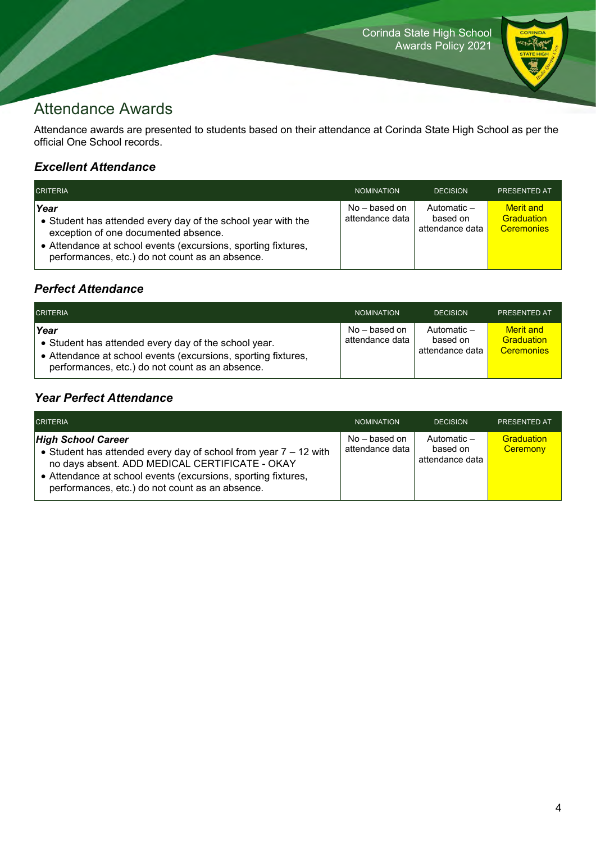

## Attendance Awards

Attendance awards are presented to students based on their attendance at Corinda State High School as per the official One School records.

### *Excellent Attendance*

| <b>CRITERIA</b>                                                                                                                                                                                                                  | <b>NOMINATION</b>                | <b>DECISION</b>                            | <b>PRESENTED AT</b>                                 |
|----------------------------------------------------------------------------------------------------------------------------------------------------------------------------------------------------------------------------------|----------------------------------|--------------------------------------------|-----------------------------------------------------|
| Year<br>• Student has attended every day of the school year with the<br>exception of one documented absence.<br>• Attendance at school events (excursions, sporting fixtures,<br>performances, etc.) do not count as an absence. | No – based on<br>attendance data | Automatic -<br>based on<br>attendance data | <b>Merit</b> and<br>Graduation<br><b>Ceremonies</b> |

### *Perfect Attendance*

| <b>CRITERIA</b>                                                                                                                                                                  | <b>NOMINATION</b>                | <b>DECISION</b>                            | <b>PRESENTED AT</b>                                 |
|----------------------------------------------------------------------------------------------------------------------------------------------------------------------------------|----------------------------------|--------------------------------------------|-----------------------------------------------------|
| Year<br>• Student has attended every day of the school year.<br>• Attendance at school events (excursions, sporting fixtures,<br>performances, etc.) do not count as an absence. | No – based on<br>attendance data | Automatic -<br>based on<br>attendance data | <b>Merit</b> and<br>Graduation<br><b>Ceremonies</b> |

#### *Year Perfect Attendance*

| <b>CRITERIA</b>                                                                                                                                                                                                                                                       | <b>NOMINATION</b>                  | <b>DECISION</b>                            | <b>PRESENTED AT</b>    |
|-----------------------------------------------------------------------------------------------------------------------------------------------------------------------------------------------------------------------------------------------------------------------|------------------------------------|--------------------------------------------|------------------------|
| <b>High School Career</b><br>• Student has attended every day of school from year $7 - 12$ with<br>no days absent. ADD MEDICAL CERTIFICATE - OKAY<br>• Attendance at school events (excursions, sporting fixtures,<br>performances, etc.) do not count as an absence. | $No - based on$<br>attendance data | Automatic -<br>based on<br>attendance data | Graduation<br>Ceremony |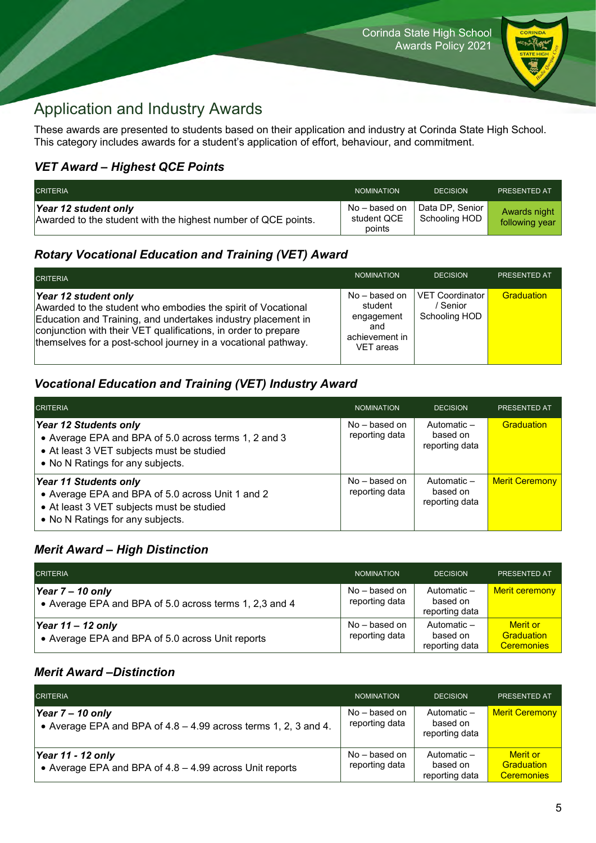

## Application and Industry Awards

These awards are presented to students based on their application and industry at Corinda State High School. This category includes awards for a student's application of effort, behaviour, and commitment.

#### *VET Award – Highest QCE Points*

| <b>CRITERIA</b>                                                                       | <b>NOMINATION</b>                      | <b>DECISION</b>                  | <b>PRESENTED AT</b>            |
|---------------------------------------------------------------------------------------|----------------------------------------|----------------------------------|--------------------------------|
| Year 12 student only<br>Awarded to the student with the highest number of QCE points. | No – based on<br>student QCE<br>points | Data DP, Senior<br>Schooling HOD | Awards night<br>following year |

### *Rotary Vocational Education and Training (VET) Award*

| <b>CRITERIA</b>                                                                                                                                                                                                                                                                         | <b>NOMINATION</b>                                                              | <b>DECISION</b>                              | <b>PRESENTED AT</b> |
|-----------------------------------------------------------------------------------------------------------------------------------------------------------------------------------------------------------------------------------------------------------------------------------------|--------------------------------------------------------------------------------|----------------------------------------------|---------------------|
| Year 12 student only<br>Awarded to the student who embodies the spirit of Vocational<br>Education and Training, and undertakes industry placement in<br>conjunction with their VET qualifications, in order to prepare<br>themselves for a post-school journey in a vocational pathway. | $No - based on$<br>student<br>engagement<br>and<br>achievement in<br>VET areas | VET Coordinator<br>/ Senior<br>Schooling HOD | Graduation          |

#### *Vocational Education and Training (VET) Industry Award*

| <b>CRITERIA</b>                                                                                                                                                   | <b>NOMINATION</b>                 | <b>DECISION</b>                           | <b>PRESENTED AT</b>   |
|-------------------------------------------------------------------------------------------------------------------------------------------------------------------|-----------------------------------|-------------------------------------------|-----------------------|
| Year 12 Students only<br>• Average EPA and BPA of 5.0 across terms 1, 2 and 3<br>• At least 3 VET subjects must be studied<br>• No N Ratings for any subjects.    | $No - based on$<br>reporting data | Automatic -<br>based on<br>reporting data | <b>Graduation</b>     |
| <b>Year 11 Students only</b><br>• Average EPA and BPA of 5.0 across Unit 1 and 2<br>• At least 3 VET subjects must be studied<br>• No N Ratings for any subjects. | $No - based on$<br>reporting data | Automatic -<br>based on<br>reporting data | <b>Merit Ceremony</b> |

#### *Merit Award – High Distinction*

| <b>CRITERIA</b>                                                              | <b>NOMINATION</b>                 | <b>DECISION</b>                           | PRESENTED AT                                |
|------------------------------------------------------------------------------|-----------------------------------|-------------------------------------------|---------------------------------------------|
| Year $7 - 10$ only<br>• Average EPA and BPA of 5.0 across terms 1, 2,3 and 4 | $No - based on$<br>reporting data | Automatic -<br>based on<br>reporting data | <b>Merit ceremony</b>                       |
| Year $11 - 12$ only<br>• Average EPA and BPA of 5.0 across Unit reports      | No – based on<br>reporting data   | Automatic -<br>based on<br>reporting data | Merit or<br>Graduation<br><b>Ceremonies</b> |

#### *Merit Award –Distinction*

| <b>CRITERIA</b>                                                                         | <b>NOMINATION</b>                 | <b>DECISION</b>                           | PRESENTED AT                                       |
|-----------------------------------------------------------------------------------------|-----------------------------------|-------------------------------------------|----------------------------------------------------|
| Year $7 - 10$ only<br>• Average EPA and BPA of $4.8 - 4.99$ across terms 1, 2, 3 and 4. | $No - based on$<br>reporting data | Automatic -<br>based on<br>reporting data | <b>Merit Ceremony</b>                              |
| Year 11 - 12 only<br>• Average EPA and BPA of $4.8 - 4.99$ across Unit reports          | $No - based on$<br>reporting data | Automatic -<br>based on<br>reporting data | <b>Merit or</b><br>Graduation<br><b>Ceremonies</b> |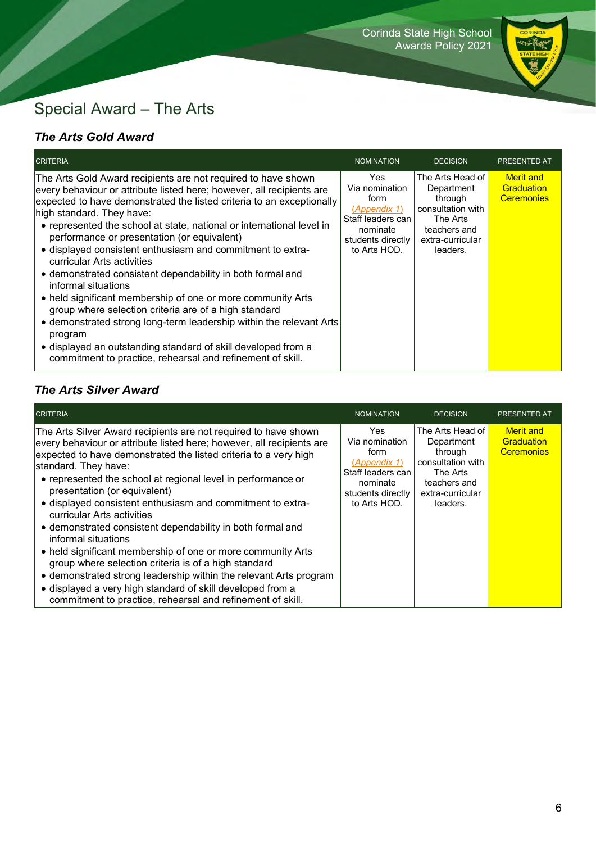

## Special Award – The Arts

### *The Arts Gold Award*

| <b>CRITERIA</b>                                                                                                                                                                                                                                                                                                                                                                                                                                                                                                                                                                                                                                                                                                                                                                                                                                                                                | <b>NOMINATION</b>                                                                                                    | <b>DECISION</b>                                                                                                            | <b>PRESENTED AT</b>                                 |
|------------------------------------------------------------------------------------------------------------------------------------------------------------------------------------------------------------------------------------------------------------------------------------------------------------------------------------------------------------------------------------------------------------------------------------------------------------------------------------------------------------------------------------------------------------------------------------------------------------------------------------------------------------------------------------------------------------------------------------------------------------------------------------------------------------------------------------------------------------------------------------------------|----------------------------------------------------------------------------------------------------------------------|----------------------------------------------------------------------------------------------------------------------------|-----------------------------------------------------|
| The Arts Gold Award recipients are not required to have shown<br>every behaviour or attribute listed here; however, all recipients are<br>expected to have demonstrated the listed criteria to an exceptionally<br>high standard. They have:<br>• represented the school at state, national or international level in<br>performance or presentation (or equivalent)<br>• displayed consistent enthusiasm and commitment to extra-<br>curricular Arts activities<br>• demonstrated consistent dependability in both formal and<br>informal situations<br>• held significant membership of one or more community Arts<br>group where selection criteria are of a high standard<br>• demonstrated strong long-term leadership within the relevant Arts<br>program<br>• displayed an outstanding standard of skill developed from a<br>commitment to practice, rehearsal and refinement of skill. | Yes.<br>Via nomination<br>form<br>(Appendix 1)<br>Staff leaders can<br>nominate<br>students directly<br>to Arts HOD. | The Arts Head of<br>Department<br>through<br>consultation with<br>The Arts<br>teachers and<br>extra-curricular<br>leaders. | <b>Merit</b> and<br>Graduation<br><b>Ceremonies</b> |

### *The Arts Silver Award*

| <b>CRITERIA</b>                                                                                                                                                                                                                                                                                                                                                                                                                                                                                                                                                                                                                                                                                                                                                                                                                               | <b>NOMINATION</b>                                                                                                   | <b>DECISION</b>                                                                                                            | PRESENTED AT                                        |
|-----------------------------------------------------------------------------------------------------------------------------------------------------------------------------------------------------------------------------------------------------------------------------------------------------------------------------------------------------------------------------------------------------------------------------------------------------------------------------------------------------------------------------------------------------------------------------------------------------------------------------------------------------------------------------------------------------------------------------------------------------------------------------------------------------------------------------------------------|---------------------------------------------------------------------------------------------------------------------|----------------------------------------------------------------------------------------------------------------------------|-----------------------------------------------------|
| The Arts Silver Award recipients are not required to have shown<br>every behaviour or attribute listed here; however, all recipients are<br>expected to have demonstrated the listed criteria to a very high<br>standard. They have:<br>• represented the school at regional level in performance or<br>presentation (or equivalent)<br>• displayed consistent enthusiasm and commitment to extra-<br>curricular Arts activities<br>• demonstrated consistent dependability in both formal and<br>informal situations<br>• held significant membership of one or more community Arts<br>group where selection criteria is of a high standard<br>• demonstrated strong leadership within the relevant Arts program<br>• displayed a very high standard of skill developed from a<br>commitment to practice, rehearsal and refinement of skill. | Yes<br>Via nomination<br>form<br>(Appendix 1)<br>Staff leaders can<br>nominate<br>students directly<br>to Arts HOD. | The Arts Head of<br>Department<br>through<br>consultation with<br>The Arts<br>teachers and<br>extra-curricular<br>leaders. | <b>Merit</b> and<br>Graduation<br><b>Ceremonies</b> |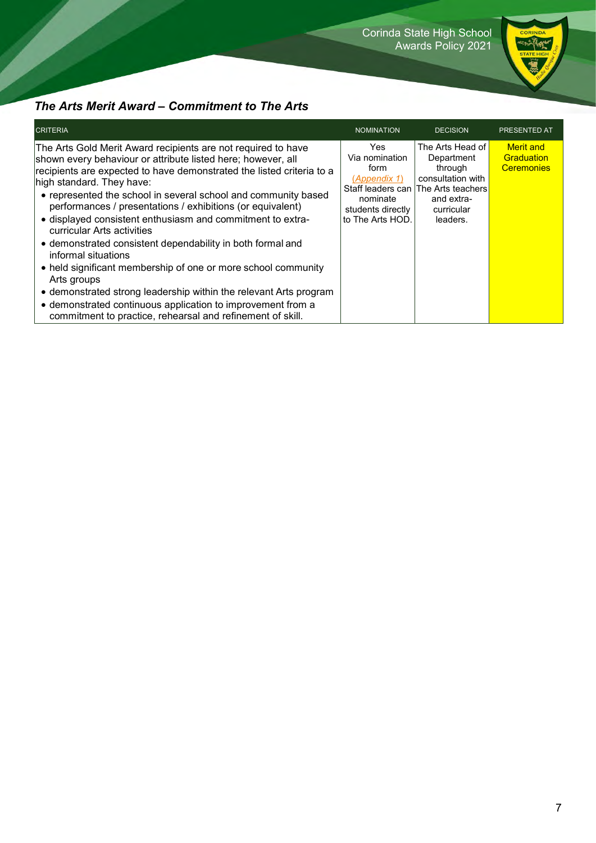Corinda State High School Awards Policy 2021



## *The Arts Merit Award – Commitment to The Arts*

| <b>CRITERIA</b>                                                                                                                                                                                                                                                                                                                                                                                                                                                                                                                                                                                                                                                                                                                                                                                                                        | <b>NOMINATION</b>                                                                                   | <b>DECISION</b>                                                                                                                               | <b>PRESENTED AT</b>                                 |
|----------------------------------------------------------------------------------------------------------------------------------------------------------------------------------------------------------------------------------------------------------------------------------------------------------------------------------------------------------------------------------------------------------------------------------------------------------------------------------------------------------------------------------------------------------------------------------------------------------------------------------------------------------------------------------------------------------------------------------------------------------------------------------------------------------------------------------------|-----------------------------------------------------------------------------------------------------|-----------------------------------------------------------------------------------------------------------------------------------------------|-----------------------------------------------------|
| The Arts Gold Merit Award recipients are not required to have<br>shown every behaviour or attribute listed here; however, all<br>recipients are expected to have demonstrated the listed criteria to a<br>high standard. They have:<br>• represented the school in several school and community based<br>performances / presentations / exhibitions (or equivalent)<br>• displayed consistent enthusiasm and commitment to extra-<br>curricular Arts activities<br>• demonstrated consistent dependability in both formal and<br>informal situations<br>• held significant membership of one or more school community<br>Arts groups<br>• demonstrated strong leadership within the relevant Arts program<br>• demonstrated continuous application to improvement from a<br>commitment to practice, rehearsal and refinement of skill. | Yes.<br>Via nomination<br>form<br>(Appendix 1)<br>nominate<br>students directly<br>to The Arts HOD. | The Arts Head of<br>Department<br>through<br>consultation with<br>Staff leaders can The Arts teachers<br>and extra-<br>curricular<br>leaders. | <b>Merit</b> and<br>Graduation<br><b>Ceremonies</b> |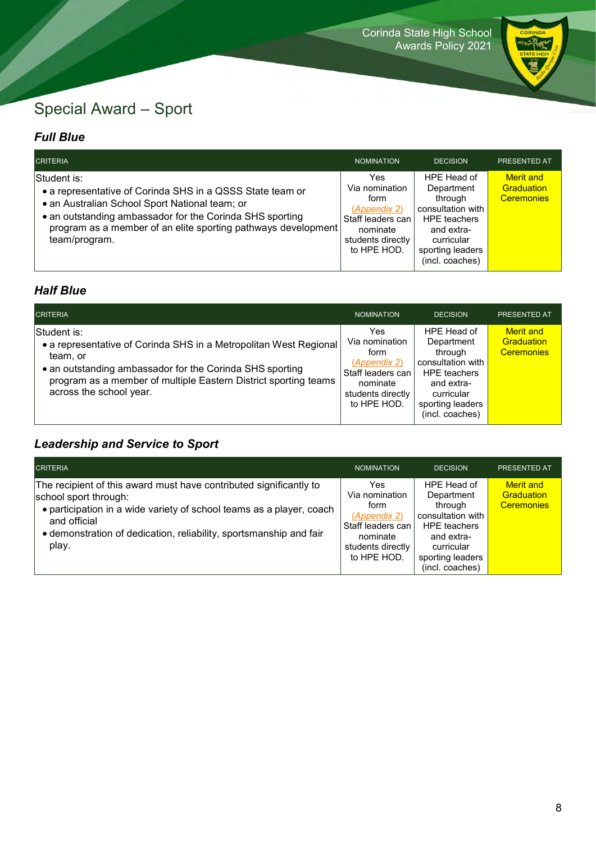

## Special Award – Sport

#### *Full Blue*

| <b>CRITERIA</b>                                                                                                                                                                                                                                                          | NOMINATION                                                                                                            | <b>DECISION</b>                                                                                                                                     | <b>PRESENTED AT</b>                                 |
|--------------------------------------------------------------------------------------------------------------------------------------------------------------------------------------------------------------------------------------------------------------------------|-----------------------------------------------------------------------------------------------------------------------|-----------------------------------------------------------------------------------------------------------------------------------------------------|-----------------------------------------------------|
| Student is:<br>• a representative of Corinda SHS in a QSSS State team or<br>• an Australian School Sport National team; or<br>• an outstanding ambassador for the Corinda SHS sporting<br>program as a member of an elite sporting pathways development<br>team/program. | Yes.<br>Via nomination<br>form<br>(Appendix 2)<br>Staff leaders can l<br>nominate<br>students directly<br>to HPE HOD. | HPE Head of<br>Department<br>through<br>consultation with<br><b>HPE</b> teachers<br>and extra-<br>curricular<br>sporting leaders<br>(incl. coaches) | <b>Merit</b> and<br>Graduation<br><b>Ceremonies</b> |

#### *Half Blue*

| <b>CRITERIA</b>                                                                                                                                                                                                                                        | <b>NOMINATION</b>                                                                                                  | <b>DECISION</b>                                                                                                                                     | <b>PRESENTED AT</b>                                 |
|--------------------------------------------------------------------------------------------------------------------------------------------------------------------------------------------------------------------------------------------------------|--------------------------------------------------------------------------------------------------------------------|-----------------------------------------------------------------------------------------------------------------------------------------------------|-----------------------------------------------------|
| Student is:<br>• a representative of Corinda SHS in a Metropolitan West Regional<br>team, or<br>• an outstanding ambassador for the Corinda SHS sporting<br>program as a member of multiple Eastern District sporting teams<br>across the school year. | Yes<br>Via nomination<br>form<br>(Appendix 2)<br>Staff leaders can<br>nominate<br>students directly<br>to HPE HOD. | HPE Head of<br>Department<br>through<br>consultation with<br><b>HPE</b> teachers<br>and extra-<br>curricular<br>sporting leaders<br>(incl. coaches) | <b>Merit</b> and<br>Graduation<br><b>Ceremonies</b> |

## *Leadership and Service to Sport*

| <b>CRITERIA</b>                                                                                                                                                                                                                                                    | <b>NOMINATION</b>                                                                                                   | <b>DECISION</b>                                                                                                                                     | PRESENTED AT                                               |
|--------------------------------------------------------------------------------------------------------------------------------------------------------------------------------------------------------------------------------------------------------------------|---------------------------------------------------------------------------------------------------------------------|-----------------------------------------------------------------------------------------------------------------------------------------------------|------------------------------------------------------------|
| The recipient of this award must have contributed significantly to<br>school sport through:<br>• participation in a wide variety of school teams as a player, coach<br>and official<br>• demonstration of dedication, reliability, sportsmanship and fair<br>play. | Yes.<br>Via nomination<br>form<br>(Appendix 2)<br>Staff leaders can<br>nominate<br>students directly<br>to HPE HOD. | HPE Head of<br>Department<br>through<br>consultation with<br><b>HPE</b> teachers<br>and extra-<br>curricular<br>sporting leaders<br>(incl. coaches) | <b>Merit and</b><br><b>Graduation</b><br><b>Ceremonies</b> |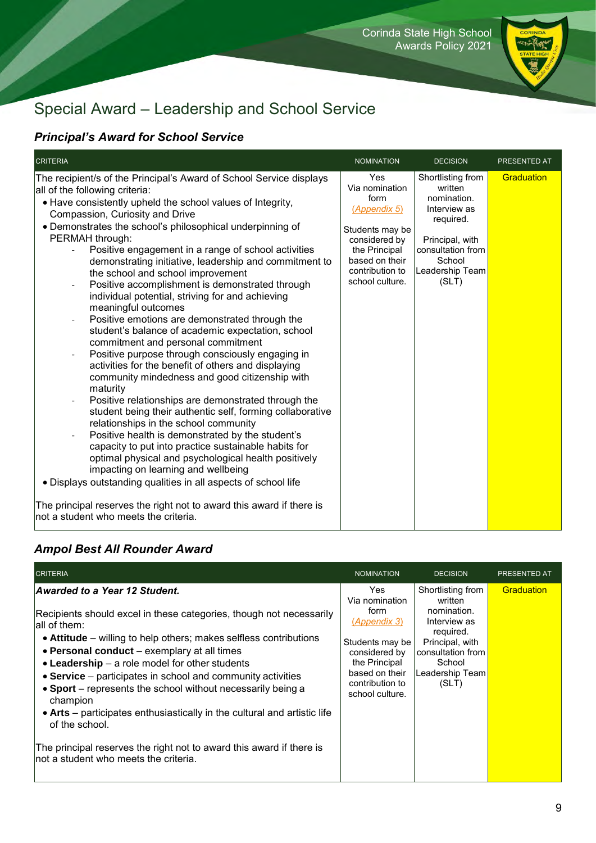

## Special Award – Leadership and School Service

### *Principal's Award for School Service*

| <b>CRITERIA</b>                                                                                                                                                                                                                                                                                                                                                                                                                                                                                                                                                                                                                                                                                                                                                                                                                                                                                                                                                                                                                                                                                                                                                                                                                                                                                                                                                                                                                                                                                                                                                                                                                         | <b>NOMINATION</b>                                                                                                                                          | <b>DECISION</b>                                                                                                                                        | PRESENTED AT |
|-----------------------------------------------------------------------------------------------------------------------------------------------------------------------------------------------------------------------------------------------------------------------------------------------------------------------------------------------------------------------------------------------------------------------------------------------------------------------------------------------------------------------------------------------------------------------------------------------------------------------------------------------------------------------------------------------------------------------------------------------------------------------------------------------------------------------------------------------------------------------------------------------------------------------------------------------------------------------------------------------------------------------------------------------------------------------------------------------------------------------------------------------------------------------------------------------------------------------------------------------------------------------------------------------------------------------------------------------------------------------------------------------------------------------------------------------------------------------------------------------------------------------------------------------------------------------------------------------------------------------------------------|------------------------------------------------------------------------------------------------------------------------------------------------------------|--------------------------------------------------------------------------------------------------------------------------------------------------------|--------------|
| The recipient/s of the Principal's Award of School Service displays<br>all of the following criteria:<br>• Have consistently upheld the school values of Integrity,<br>Compassion, Curiosity and Drive<br>• Demonstrates the school's philosophical underpinning of<br>PERMAH through:<br>Positive engagement in a range of school activities<br>$\overline{\phantom{0}}$<br>demonstrating initiative, leadership and commitment to<br>the school and school improvement<br>Positive accomplishment is demonstrated through<br>$\overline{\phantom{a}}$<br>individual potential, striving for and achieving<br>meaningful outcomes<br>Positive emotions are demonstrated through the<br>$\overline{\phantom{0}}$<br>student's balance of academic expectation, school<br>commitment and personal commitment<br>Positive purpose through consciously engaging in<br>$\overline{\phantom{a}}$<br>activities for the benefit of others and displaying<br>community mindedness and good citizenship with<br>maturity<br>Positive relationships are demonstrated through the<br>$\overline{\phantom{a}}$<br>student being their authentic self, forming collaborative<br>relationships in the school community<br>Positive health is demonstrated by the student's<br>$\qquad \qquad \blacksquare$<br>capacity to put into practice sustainable habits for<br>optimal physical and psychological health positively<br>impacting on learning and wellbeing<br>• Displays outstanding qualities in all aspects of school life<br>The principal reserves the right not to award this award if there is<br>not a student who meets the criteria. | Yes<br>Via nomination<br>form<br>(Appendix 5)<br>Students may be<br>considered by<br>the Principal<br>based on their<br>contribution to<br>school culture. | Shortlisting from<br>written<br>nomination.<br>Interview as<br>required.<br>Principal, with<br>consultation from<br>School<br>Leadership Team<br>(SLT) | Graduation   |

#### *Ampol Best All Rounder Award*

| <b>CRITERIA</b>                                                                                                                                                                                                                                                                                                                                                                                                                                                                                                                                                                                                                                               | <b>NOMINATION</b>                                                                                                                                          | <b>DECISION</b>                                                                                                                                        | <b>PRESENTED AT</b> |
|---------------------------------------------------------------------------------------------------------------------------------------------------------------------------------------------------------------------------------------------------------------------------------------------------------------------------------------------------------------------------------------------------------------------------------------------------------------------------------------------------------------------------------------------------------------------------------------------------------------------------------------------------------------|------------------------------------------------------------------------------------------------------------------------------------------------------------|--------------------------------------------------------------------------------------------------------------------------------------------------------|---------------------|
| Awarded to a Year 12 Student.<br>Recipients should excel in these categories, though not necessarily<br>lall of them:<br>• Attitude – willing to help others; makes selfless contributions<br>• Personal conduct – exemplary at all times<br>$\bullet$ Leadership – a role model for other students<br>• Service – participates in school and community activities<br>• Sport – represents the school without necessarily being a<br>champion<br>• Arts – participates enthusiastically in the cultural and artistic life<br>of the school.<br>The principal reserves the right not to award this award if there is<br>Inot a student who meets the criteria. | Yes<br>Via nomination<br>form<br>(Appendix 3)<br>Students may be<br>considered by<br>the Principal<br>based on their<br>contribution to<br>school culture. | Shortlisting from<br>written<br>nomination.<br>Interview as<br>required.<br>Principal, with<br>consultation from<br>School<br>Leadership Team<br>(SLT) | Graduation          |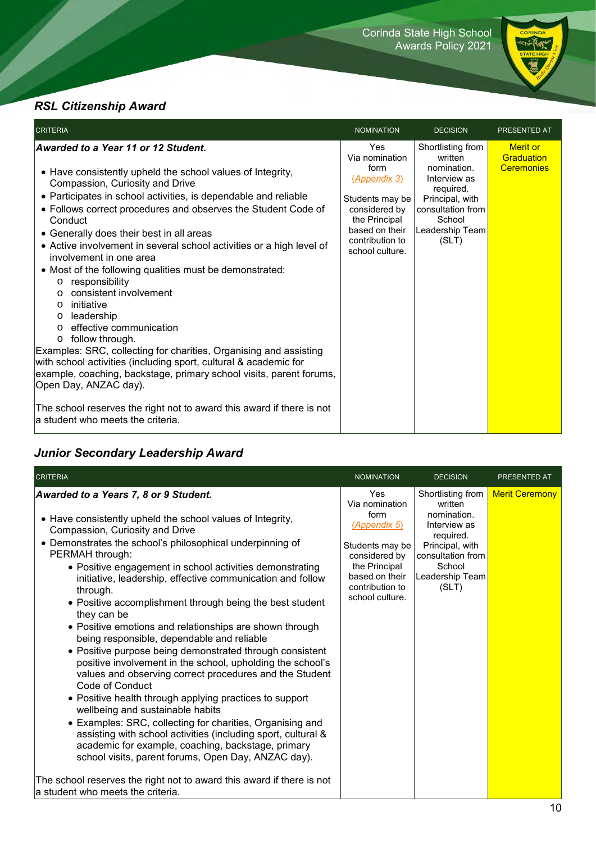

### *RSL Citizenship Award*

| <b>CRITERIA</b>                                                                                                                                                                                                                                                                                                                                                                                                                                                                                                                                                                                                                                                                                                                                                                                                                                                                                                                                                                                                                                | <b>NOMINATION</b>                                                                                                                                                 | <b>DECISION</b>                                                                                                                                        | PRESENTED AT                                       |
|------------------------------------------------------------------------------------------------------------------------------------------------------------------------------------------------------------------------------------------------------------------------------------------------------------------------------------------------------------------------------------------------------------------------------------------------------------------------------------------------------------------------------------------------------------------------------------------------------------------------------------------------------------------------------------------------------------------------------------------------------------------------------------------------------------------------------------------------------------------------------------------------------------------------------------------------------------------------------------------------------------------------------------------------|-------------------------------------------------------------------------------------------------------------------------------------------------------------------|--------------------------------------------------------------------------------------------------------------------------------------------------------|----------------------------------------------------|
| Awarded to a Year 11 or 12 Student.<br>• Have consistently upheld the school values of Integrity,<br>Compassion, Curiosity and Drive<br>• Participates in school activities, is dependable and reliable<br>• Follows correct procedures and observes the Student Code of<br>Conduct<br>• Generally does their best in all areas<br>• Active involvement in several school activities or a high level of<br>involvement in one area<br>• Most of the following qualities must be demonstrated:<br>responsibility<br>$\circ$<br>consistent involvement<br>$\circ$<br>initiative<br>$\circ$<br>leadership<br>$\circ$<br>effective communication<br>$\Omega$<br>follow through.<br>$\circ$<br>Examples: SRC, collecting for charities, Organising and assisting<br>with school activities (including sport, cultural & academic for<br>example, coaching, backstage, primary school visits, parent forums,<br>Open Day, ANZAC day).<br>The school reserves the right not to award this award if there is not<br>la student who meets the criteria. | Yes<br>Via nomination<br>form<br><u>(Appendix 3)</u><br>Students may be<br>considered by<br>the Principal<br>based on their<br>contribution to<br>school culture. | Shortlisting from<br>written<br>nomination.<br>Interview as<br>required.<br>Principal, with<br>consultation from<br>School<br>Leadership Team<br>(SLT) | <b>Merit or</b><br>Graduation<br><b>Ceremonies</b> |

### *Junior Secondary Leadership Award*

| Awarded to a Years 7, 8 or 9 Student.                                                                                                                                                                                                                                                                                                                                                                                                                                                                                                                                                                                                                                                                                                                                                                                                                                                                                                                                                                                                                                                                                                                                   | Yes<br>Via nomination<br>form                                                                                             | Shortlisting from<br>written                                                                                           | <b>Merit Ceremony</b> |
|-------------------------------------------------------------------------------------------------------------------------------------------------------------------------------------------------------------------------------------------------------------------------------------------------------------------------------------------------------------------------------------------------------------------------------------------------------------------------------------------------------------------------------------------------------------------------------------------------------------------------------------------------------------------------------------------------------------------------------------------------------------------------------------------------------------------------------------------------------------------------------------------------------------------------------------------------------------------------------------------------------------------------------------------------------------------------------------------------------------------------------------------------------------------------|---------------------------------------------------------------------------------------------------------------------------|------------------------------------------------------------------------------------------------------------------------|-----------------------|
| • Have consistently upheld the school values of Integrity,<br>Compassion, Curiosity and Drive<br>• Demonstrates the school's philosophical underpinning of<br>PERMAH through:<br>• Positive engagement in school activities demonstrating<br>initiative, leadership, effective communication and follow<br>through.<br>• Positive accomplishment through being the best student<br>they can be<br>• Positive emotions and relationships are shown through<br>being responsible, dependable and reliable<br>• Positive purpose being demonstrated through consistent<br>positive involvement in the school, upholding the school's<br>values and observing correct procedures and the Student<br>Code of Conduct<br>• Positive health through applying practices to support<br>wellbeing and sustainable habits<br>• Examples: SRC, collecting for charities, Organising and<br>assisting with school activities (including sport, cultural &<br>academic for example, coaching, backstage, primary<br>school visits, parent forums, Open Day, ANZAC day).<br>The school reserves the right not to award this award if there is not<br>a student who meets the criteria. | (Appendix 5)<br>Students may be<br>considered by<br>the Principal<br>based on their<br>contribution to<br>school culture. | nomination.<br>Interview as<br>required.<br>Principal, with<br>consultation from<br>School<br>Leadership Team<br>(SLT) |                       |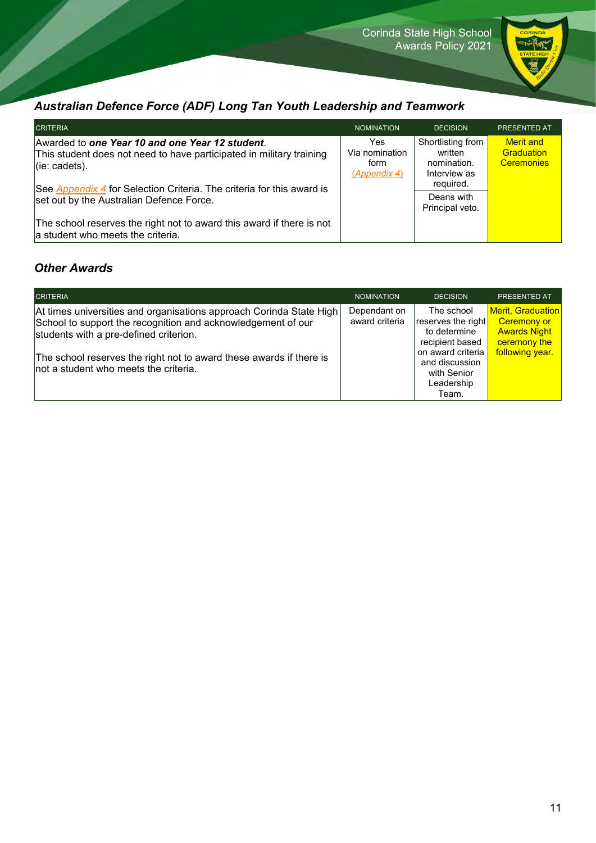

### *Australian Defence Force (ADF) Long Tan Youth Leadership and Teamwork*

| <b>CRITERIA</b>                                                                                                                                                                                                       | <b>NOMINATION</b>                              | <b>DECISION</b>                                                          | <b>PRESENTED AT</b>                                 |
|-----------------------------------------------------------------------------------------------------------------------------------------------------------------------------------------------------------------------|------------------------------------------------|--------------------------------------------------------------------------|-----------------------------------------------------|
| Awarded to one Year 10 and one Year 12 student.<br>This student does not need to have participated in military training<br>$ $ (ie: cadets).<br>See Appendix 4 for Selection Criteria. The criteria for this award is | Yes.<br>Via nomination<br>form<br>(Appendix 4) | Shortlisting from<br>written<br>nomination.<br>Interview as<br>required. | <b>Merit</b> and<br>Graduation<br><b>Ceremonies</b> |
| set out by the Australian Defence Force.<br>The school reserves the right not to award this award if there is not<br>a student who meets the criteria.                                                                |                                                | Deans with<br>Principal veto.                                            |                                                     |

#### *Other Awards*

| <b>CRITERIA</b><br><b>NOMINATION</b><br><b>DECISION</b><br><b>PRESENTED AT</b><br><b>Merit, Graduation</b><br>Dependant on<br>The school<br>At times universities and organisations approach Corinda State High<br>award criteria<br>reserves the right<br><b>Ceremony or</b><br>School to support the recognition and acknowledgement of our<br><b>Awards Night</b><br>to determine<br>students with a pre-defined criterion.<br>ceremony the<br>recipient based<br>following year.<br>on award criteria<br>The school reserves the right not to award these awards if there is<br>and discussion<br>not a student who meets the criteria.<br>with Senior<br>Leadership |  |       |  |
|--------------------------------------------------------------------------------------------------------------------------------------------------------------------------------------------------------------------------------------------------------------------------------------------------------------------------------------------------------------------------------------------------------------------------------------------------------------------------------------------------------------------------------------------------------------------------------------------------------------------------------------------------------------------------|--|-------|--|
|                                                                                                                                                                                                                                                                                                                                                                                                                                                                                                                                                                                                                                                                          |  |       |  |
|                                                                                                                                                                                                                                                                                                                                                                                                                                                                                                                                                                                                                                                                          |  | Team. |  |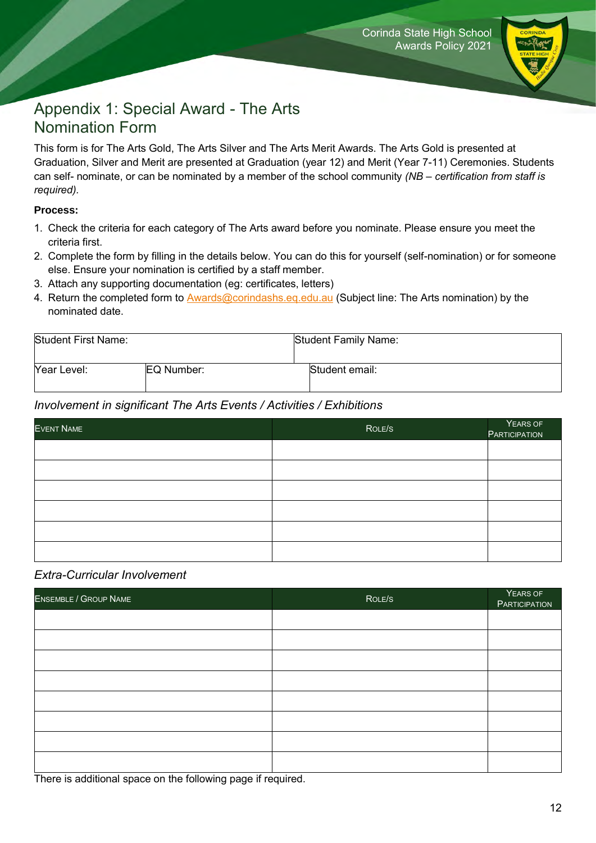

## Appendix 1: Special Award - The Arts Nomination Form

This form is for The Arts Gold, The Arts Silver and The Arts Merit Awards. The Arts Gold is presented at Graduation, Silver and Merit are presented at Graduation (year 12) and Merit (Year 7-11) Ceremonies. Students can self- nominate, or can be nominated by a member of the school community *(NB – certification from staff is required).*

#### **Process:**

- 1. Check the criteria for each category of The Arts award before you nominate. Please ensure you meet the criteria first.
- 2. Complete the form by filling in the details below. You can do this for yourself (self-nomination) or for someone else. Ensure your nomination is certified by a staff member.
- 3. Attach any supporting documentation (eg: certificates, letters)
- 4. Return the completed form to **[Awards@corindashs.eq.edu.au](mailto:Awards@corindashs.eq.edu.au)** (Subject line: The Arts nomination) by the nominated date.

| Student First Name: |            | Student Family Name: |
|---------------------|------------|----------------------|
| Year Level:         | EQ Number: | Student email:       |
|                     |            |                      |

#### *Involvement in significant The Arts Events / Activities / Exhibitions*

| EVENT NAME | ROLE/S | YEARS OF<br>PARTICIPATION |
|------------|--------|---------------------------|
|            |        |                           |
|            |        |                           |
|            |        |                           |
|            |        |                           |
|            |        |                           |
|            |        |                           |

#### *Extra-Curricular Involvement*

| ENSEMBLE / GROUP NAME | ROLE/S | YEARS OF<br>PARTICIPATION |
|-----------------------|--------|---------------------------|
|                       |        |                           |
|                       |        |                           |
|                       |        |                           |
|                       |        |                           |
|                       |        |                           |
|                       |        |                           |
|                       |        |                           |
|                       |        |                           |

There is additional space on the following page if required.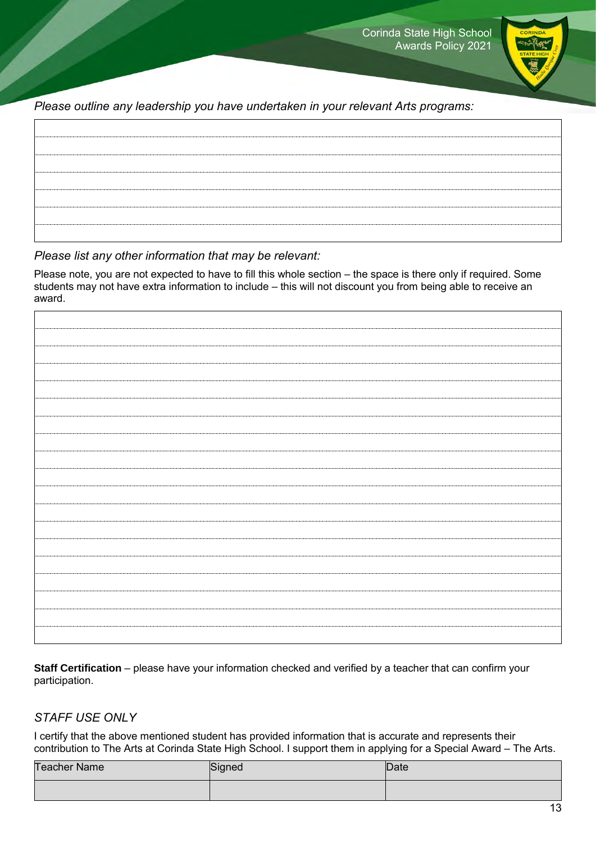

*Please outline any leadership you have undertaken in your relevant Arts programs:*

*Please list any other information that may be relevant:*

Please note, you are not expected to have to fill this whole section – the space is there only if required. Some students may not have extra information to include – this will not discount you from being able to receive an award.

<span id="page-12-0"></span>**Staff Certification** – please have your information checked and verified by a teacher that can confirm your participation.

#### *STAFF USE ONLY*

I certify that the above mentioned student has provided information that is accurate and represents their contribution to The Arts at Corinda State High School. I support them in applying for a Special Award – The Arts.

| <b>Teacher Name</b> | Signed | Date |
|---------------------|--------|------|
|                     |        |      |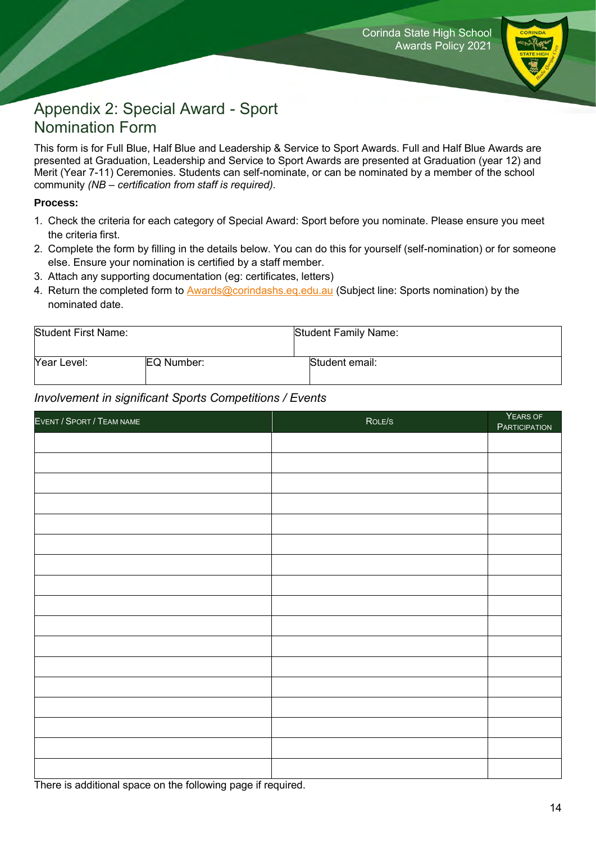

## Appendix 2: Special Award - Sport Nomination Form

This form is for Full Blue, Half Blue and Leadership & Service to Sport Awards. Full and Half Blue Awards are presented at Graduation, Leadership and Service to Sport Awards are presented at Graduation (year 12) and Merit (Year 7-11) Ceremonies. Students can self-nominate, or can be nominated by a member of the school community *(NB – certification from staff is required).*

#### **Process:**

- 1. Check the criteria for each category of Special Award: Sport before you nominate. Please ensure you meet the criteria first.
- 2. Complete the form by filling in the details below. You can do this for yourself (self-nomination) or for someone else. Ensure your nomination is certified by a staff member.
- 3. Attach any supporting documentation (eg: certificates, letters)
- 4. Return the completed form to [Awards@corindashs.eq.edu.au](mailto:Awards@corindashs.eq.edu.au) (Subject line: Sports nomination) by the nominated date.

| Student First Name: |            | Student Family Name: |
|---------------------|------------|----------------------|
| Year Level:         | EQ Number: | Student email:       |

#### *Involvement in significant Sports Competitions / Events*

| EVENT / SPORT / TEAM NAME | ROLE/S | YEARS OF<br><b>PARTICIPATION</b> |
|---------------------------|--------|----------------------------------|
|                           |        |                                  |
|                           |        |                                  |
|                           |        |                                  |
|                           |        |                                  |
|                           |        |                                  |
|                           |        |                                  |
|                           |        |                                  |
|                           |        |                                  |
|                           |        |                                  |
|                           |        |                                  |
|                           |        |                                  |
|                           |        |                                  |
|                           |        |                                  |
|                           |        |                                  |
|                           |        |                                  |
|                           |        |                                  |
|                           |        |                                  |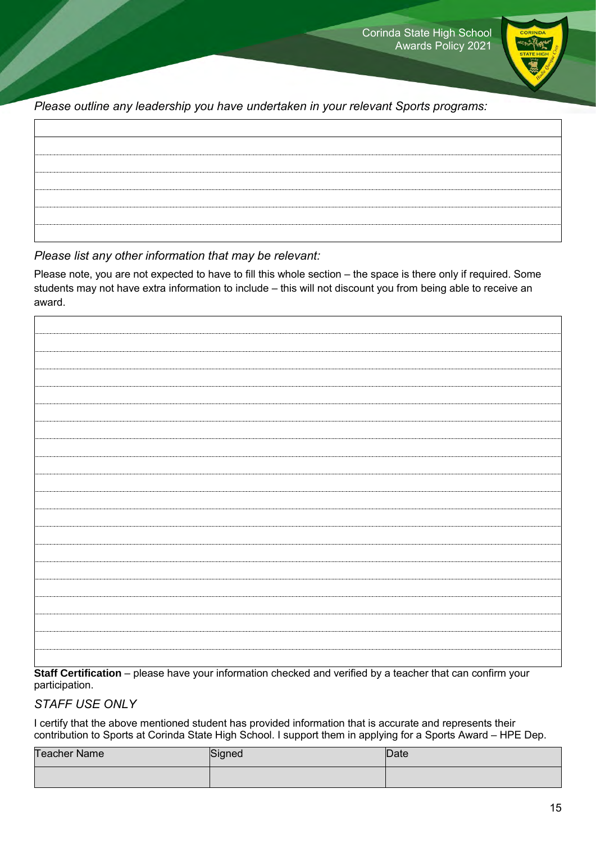

*Please outline any leadership you have undertaken in your relevant Sports programs:*

*Please list any other information that may be relevant:*

Please note, you are not expected to have to fill this whole section – the space is there only if required. Some students may not have extra information to include – this will not discount you from being able to receive an award.

| Stell Cartification places have vaux information shocked and verified by a togeher that can confirm vaux |  |  |
|----------------------------------------------------------------------------------------------------------|--|--|

**Staff Certification** – please have your information checked and verified by a teacher that can confirm your participation.

### *STAFF USE ONLY*

I certify that the above mentioned student has provided information that is accurate and represents their contribution to Sports at Corinda State High School. I support them in applying for a Sports Award – HPE Dep.

| <b>Teacher Name</b> | Signed | <b>Date</b> |
|---------------------|--------|-------------|
|                     |        |             |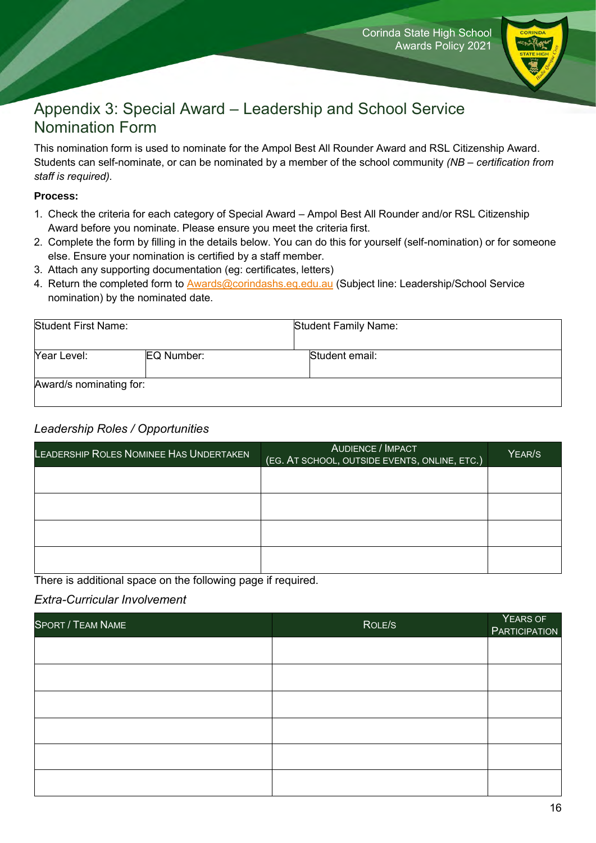

## <span id="page-15-0"></span>Appendix 3: Special Award – Leadership and School Service Nomination Form

This nomination form is used to nominate for the Ampol Best All Rounder Award and RSL Citizenship Award. Students can self-nominate, or can be nominated by a member of the school community *(NB – certification from staff is required).*

#### **Process:**

- 1. Check the criteria for each category of Special Award Ampol Best All Rounder and/or RSL Citizenship Award before you nominate. Please ensure you meet the criteria first.
- 2. Complete the form by filling in the details below. You can do this for yourself (self-nomination) or for someone else. Ensure your nomination is certified by a staff member.
- 3. Attach any supporting documentation (eg: certificates, letters)
- 4. Return the completed form to [Awards@corindashs.eq.edu.au](mailto:Awards@corindashs.eq.edu.au) (Subject line: Leadership/School Service nomination) by the nominated date.

| <b>Student First Name:</b> |            | <b>Student Family Name:</b> |  |
|----------------------------|------------|-----------------------------|--|
| Year Level:                | EQ Number: | Student email:              |  |
| Award/s nominating for:    |            |                             |  |

#### *Leadership Roles / Opportunities*

| LEADERSHIP ROLES NOMINEE HAS UNDERTAKEN | <b>AUDIENCE / IMPACT</b><br>(EG. AT SCHOOL, OUTSIDE EVENTS, ONLINE, ETC.) | YEAR/S |
|-----------------------------------------|---------------------------------------------------------------------------|--------|
|                                         |                                                                           |        |
|                                         |                                                                           |        |
|                                         |                                                                           |        |
|                                         |                                                                           |        |

There is additional space on the following page if required.

#### *Extra-Curricular Involvement*

| <b>SPORT / TEAM NAME</b> | ROLE/S | YEARS OF<br><b>PARTICIPATION</b> |
|--------------------------|--------|----------------------------------|
|                          |        |                                  |
|                          |        |                                  |
|                          |        |                                  |
|                          |        |                                  |
|                          |        |                                  |
|                          |        |                                  |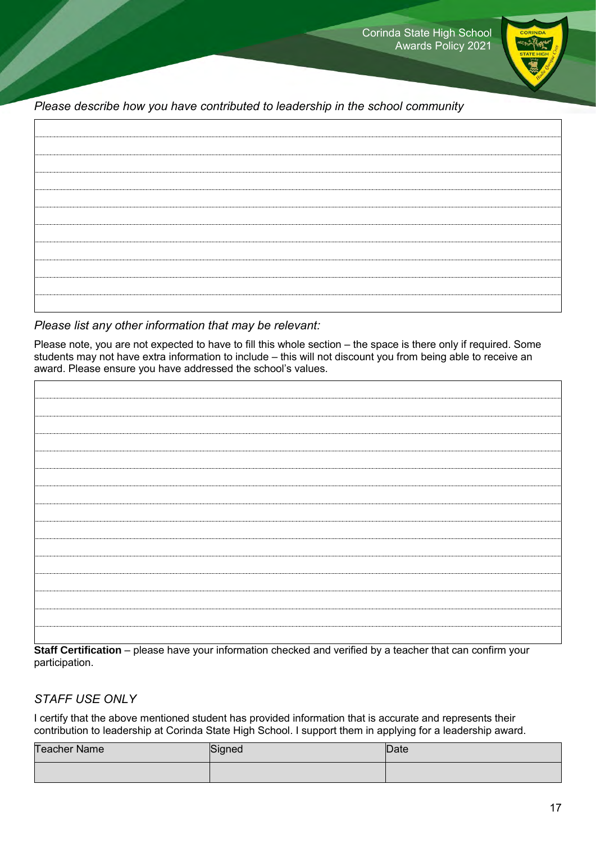

*Please describe how you have contributed to leadership in the school community*

#### *Please list any other information that may be relevant:*

Please note, you are not expected to have to fill this whole section – the space is there only if required. Some students may not have extra information to include – this will not discount you from being able to receive an award. Please ensure you have addressed the school's values.

**Staff Certification** – please have your information checked and verified by a teacher that can confirm your participation.

#### *STAFF USE ONLY*

I certify that the above mentioned student has provided information that is accurate and represents their contribution to leadership at Corinda State High School. I support them in applying for a leadership award.

| Teacher Name | Signed | Date |
|--------------|--------|------|
|              |        |      |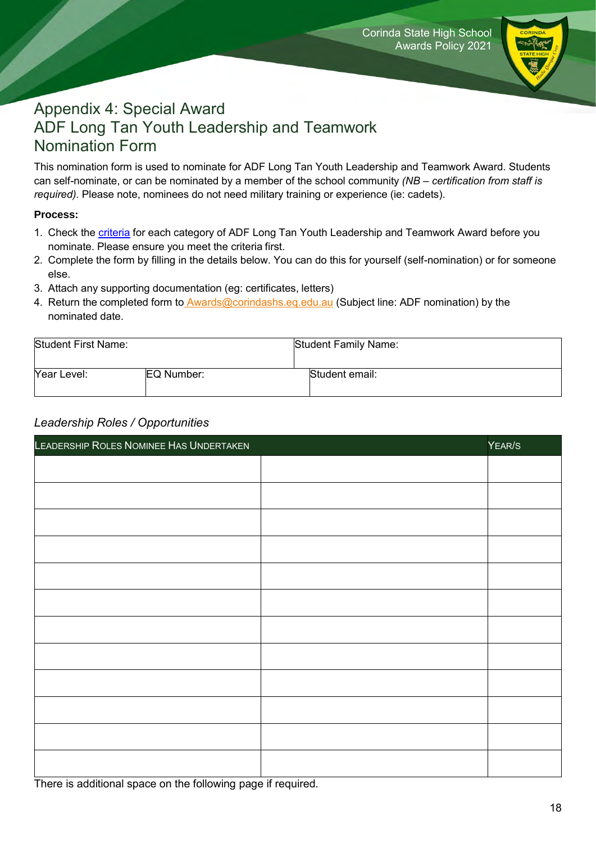

## Appendix 4: Special Award ADF Long Tan Youth Leadership and Teamwork Nomination Form

This nomination form is used to nominate for ADF Long Tan Youth Leadership and Teamwork Award. Students can self-nominate, or can be nominated by a member of the school community *(NB – certification from staff is required).* Please note, nominees do not need military training or experience (ie: cadets).

#### **Process:**

- 1. Check the [criteria](#page-18-0) for each category of ADF Long Tan Youth Leadership and Teamwork Award before you nominate. Please ensure you meet the criteria first.
- 2. Complete the form by filling in the details below. You can do this for yourself (self-nomination) or for someone else.
- 3. Attach any supporting documentation (eg: certificates, letters)
- 4. Return the completed form to [Awards@corindashs.eq.edu.au](mailto:Awards@corindashs.eq.edu.au) (Subject line: ADF nomination) by the nominated date.

| <b>Student First Name:</b> |            | <b>Student Family Name:</b> |
|----------------------------|------------|-----------------------------|
| Year Level:                | EQ Number: | Student email:              |

#### *Leadership Roles / Opportunities*

| LEADERSHIP ROLES NOMINEE HAS UNDERTAKEN | YEAR/S |
|-----------------------------------------|--------|
|                                         |        |
|                                         |        |
|                                         |        |
|                                         |        |
|                                         |        |
|                                         |        |
|                                         |        |
|                                         |        |
|                                         |        |
|                                         |        |
|                                         |        |
|                                         |        |

There is additional space on the following page if required.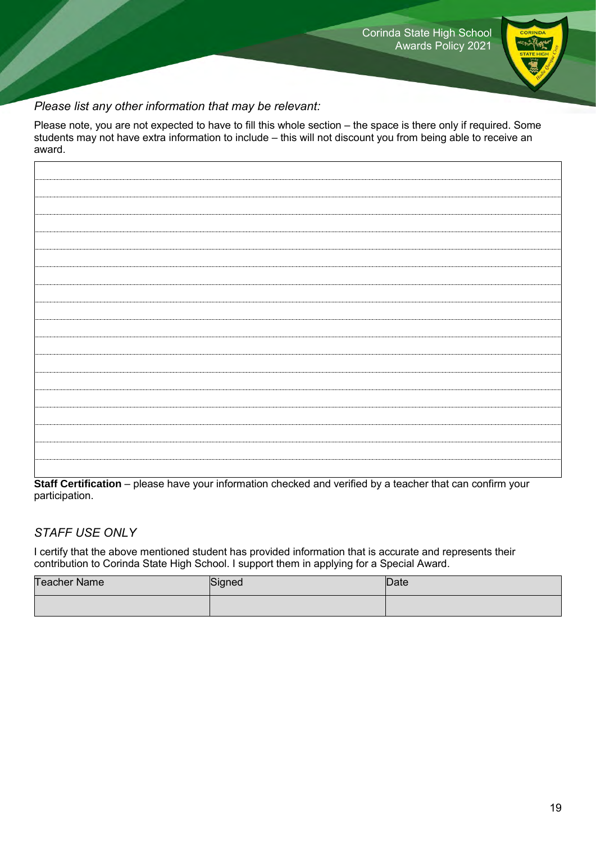

### *Please list any other information that may be relevant:*

Please note, you are not expected to have to fill this whole section – the space is there only if required. Some students may not have extra information to include – this will not discount you from being able to receive an award.

**Staff Certification** – please have your information checked and verified by a teacher that can confirm your participation.

### *STAFF USE ONLY*

I certify that the above mentioned student has provided information that is accurate and represents their contribution to Corinda State High School. I support them in applying for a Special Award.

<span id="page-18-0"></span>

| <b>Teacher Name</b> | Signed | Date: |
|---------------------|--------|-------|
|                     |        |       |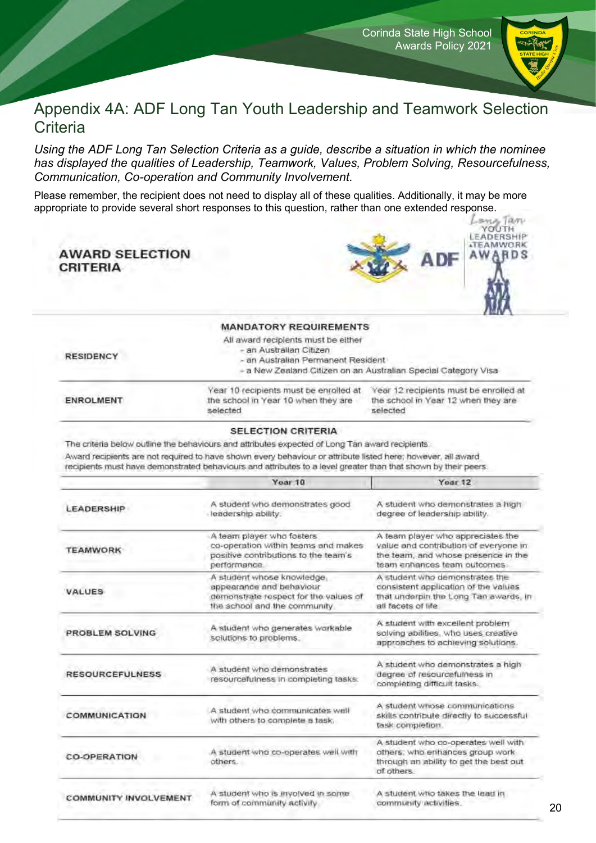

### Appendix 4A: ADF Long Tan Youth Leadership and Teamwork Selection **Criteria**

*Using the ADF Long Tan Selection Criteria as a guide, describe a situation in which the nominee has displayed the qualities of Leadership, Teamwork, Values, Problem Solving, Resourcefulness, Communication, Co-operation and Community Involvement.*

Please remember, the recipient does not need to display all of these qualities. Additionally, it may be more appropriate to provide several short responses to this question, rather than one extended response.

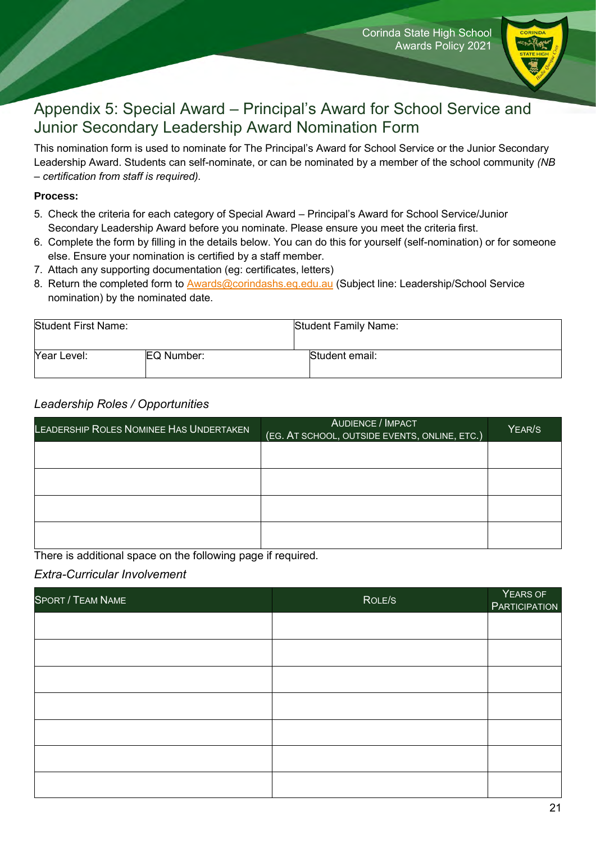

## Appendix 5: Special Award – Principal's Award for School Service and Junior Secondary Leadership Award Nomination Form

This nomination form is used to nominate for The Principal's Award for School Service or the Junior Secondary Leadership Award. Students can self-nominate, or can be nominated by a member of the school community *(NB – certification from staff is required).*

#### **Process:**

- 5. Check the criteria for each category of Special Award Principal's Award for School Service/Junior Secondary Leadership Award before you nominate. Please ensure you meet the criteria first.
- 6. Complete the form by filling in the details below. You can do this for yourself (self-nomination) or for someone else. Ensure your nomination is certified by a staff member.
- 7. Attach any supporting documentation (eg: certificates, letters)
- 8. Return the completed form to [Awards@corindashs.eq.edu.au](mailto:Awards@corindashs.eq.edu.au) (Subject line: Leadership/School Service nomination) by the nominated date.

| <b>Student First Name:</b> |            | Student Family Name: |
|----------------------------|------------|----------------------|
| Year Level:                | EQ Number: | Student email:       |

#### *Leadership Roles / Opportunities*

| LEADERSHIP ROLES NOMINEE HAS UNDERTAKEN | AUDIENCE / IMPACT<br>(EG. AT SCHOOL, OUTSIDE EVENTS, ONLINE, ETC.) | YEAR/S |
|-----------------------------------------|--------------------------------------------------------------------|--------|
|                                         |                                                                    |        |
|                                         |                                                                    |        |
|                                         |                                                                    |        |
|                                         |                                                                    |        |

There is additional space on the following page if required.

#### *Extra-Curricular Involvement*

| <b>SPORT / TEAM NAME</b> | ROLE/S | YEARS OF<br><b>PARTICIPATION</b> |
|--------------------------|--------|----------------------------------|
|                          |        |                                  |
|                          |        |                                  |
|                          |        |                                  |
|                          |        |                                  |
|                          |        |                                  |
|                          |        |                                  |
|                          |        |                                  |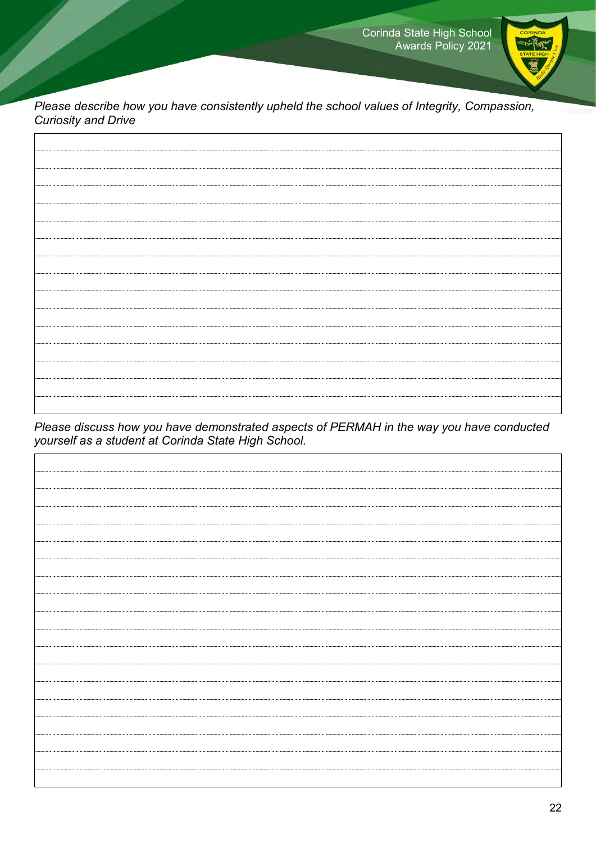

*Please describe how you have consistently upheld the school values of Integrity, Compassion, Curiosity and Drive*

*Please discuss how you have demonstrated aspects of PERMAH in the way you have conducted yourself as a student at Corinda State High School.*